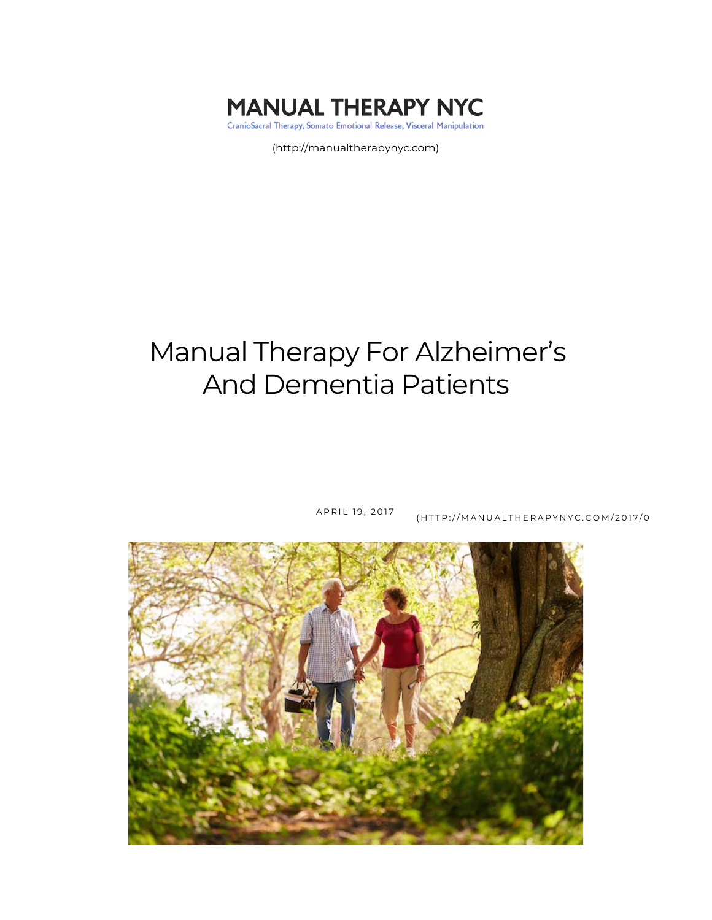

(http://manualtherapynyc.com)

# Manual Therapy For Alzheimer's And Dementia Patients



APRIL 19, 2017 (HTTP://MANUALTHERAPYNYC.COM/2017/0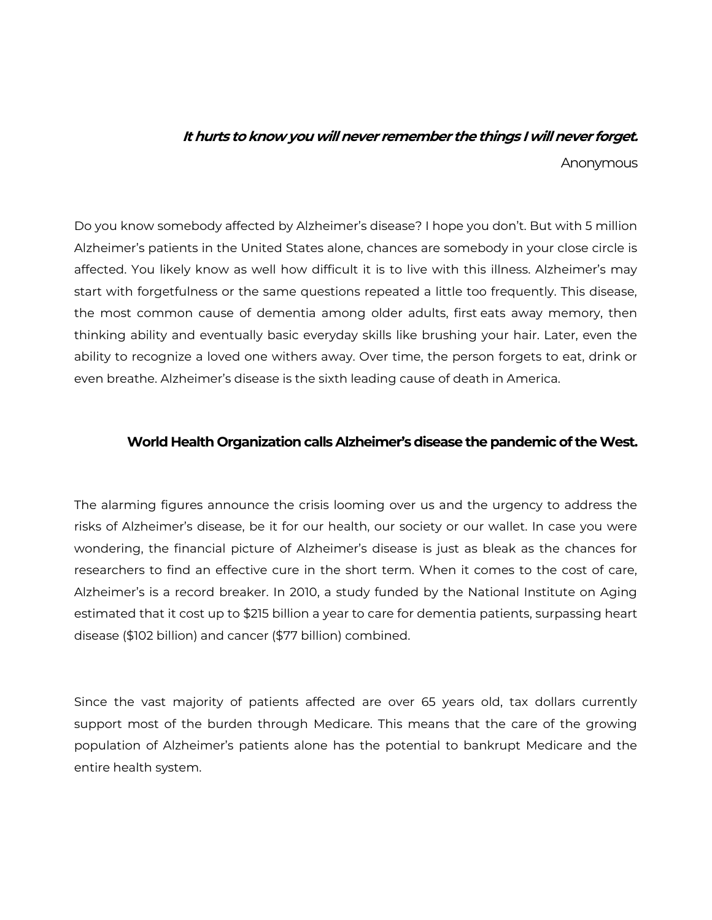### **It hurts to know you will never remember the things I will never forget.**

Anonymous

Do you know somebody affected by Alzheimer's disease? I hope you don't. But with 5 million Alzheimer's patients in the United States alone, chances are somebody in your close circle is affected. You likely know as well how difficult it is to live with this illness. Alzheimer's may start with forgetfulness or the same questions repeated a little too frequently. This disease, the most common cause of dementia among older adults, first eats away memory, then thinking ability and eventually basic everyday skills like brushing your hair. Later, even the ability to recognize a loved one withers away. Over time, the person forgets to eat, drink or even breathe. Alzheimer's disease is the sixth leading cause of death in America.

#### **World Health Organization calls Alzheimer's disease the pandemic of the West.**

The alarming figures announce the crisis looming over us and the urgency to address the risks of Alzheimer's disease, be it for our health, our society or our wallet. In case you were wondering, the financial picture of Alzheimer's disease is just as bleak as the chances for researchers to find an effective cure in the short term. When it comes to the cost of care, Alzheimer's is a record breaker. In 2010, a study funded by the National Institute on Aging estimated that it cost up to \$215 billion a year to care for dementia patients, surpassing heart disease (\$102 billion) and cancer (\$77 billion) combined.

Since the vast majority of patients affected are over 65 years old, tax dollars currently support most of the burden through Medicare. This means that the care of the growing population of Alzheimer's patients alone has the potential to bankrupt Medicare and the entire health system.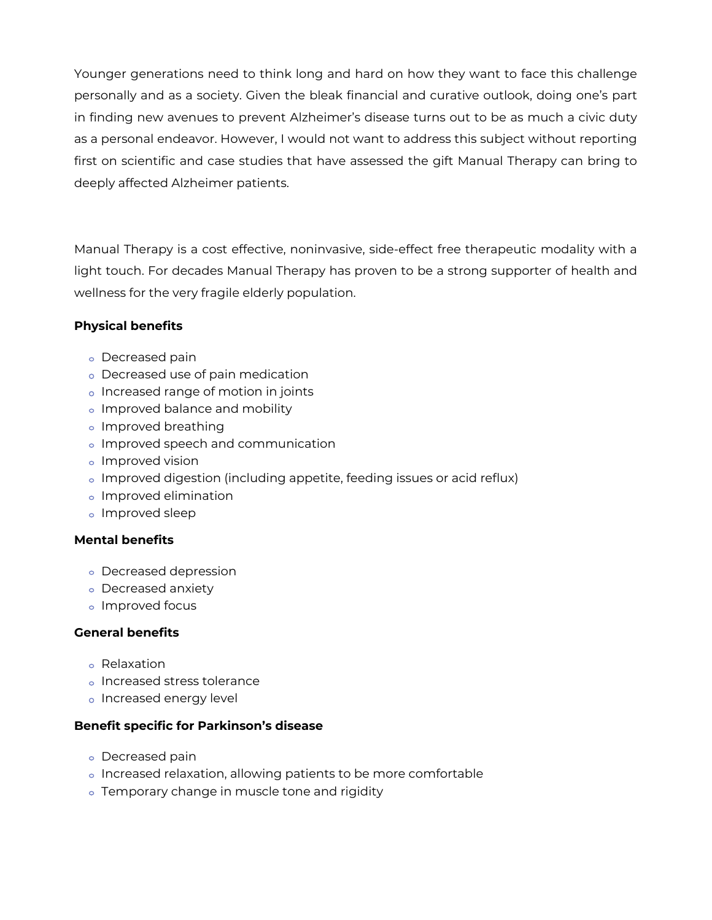Younger generations need to think long and hard on how they want to face this challenge personally and as a society. Given the bleak financial and curative outlook, doing one's part in finding new avenues to prevent Alzheimer's disease turns out to be as much a civic duty as a personal endeavor. However, I would not want to address this subject without reporting first on scientific and case studies that have assessed the gift Manual Therapy can bring to deeply affected Alzheimer patients.

Manual Therapy is a cost effective, noninvasive, side-effect free therapeutic modality with a light touch. For decades Manual Therapy has proven to be a strong supporter of health and wellness for the very fragile elderly population.

#### **Physical benefits**

- Decreased pain
- Decreased use of pain medication
- o Increased range of motion in joints
- o Improved balance and mobility
- o Improved breathing
- Improved speech and communication
- o Improved vision
- Improved digestion (including appetite, feeding issues or acid reflux)
- Improved elimination
- Improved sleep

#### **Mental benefits**

- Decreased depression
- Decreased anxiety
- Improved focus

#### **General benefits**

- Relaxation
- o Increased stress tolerance
- o Increased energy level

#### **Benefit specific for Parkinson's disease**

- Decreased pain
- o Increased relaxation, allowing patients to be more comfortable
- o Temporary change in muscle tone and rigidity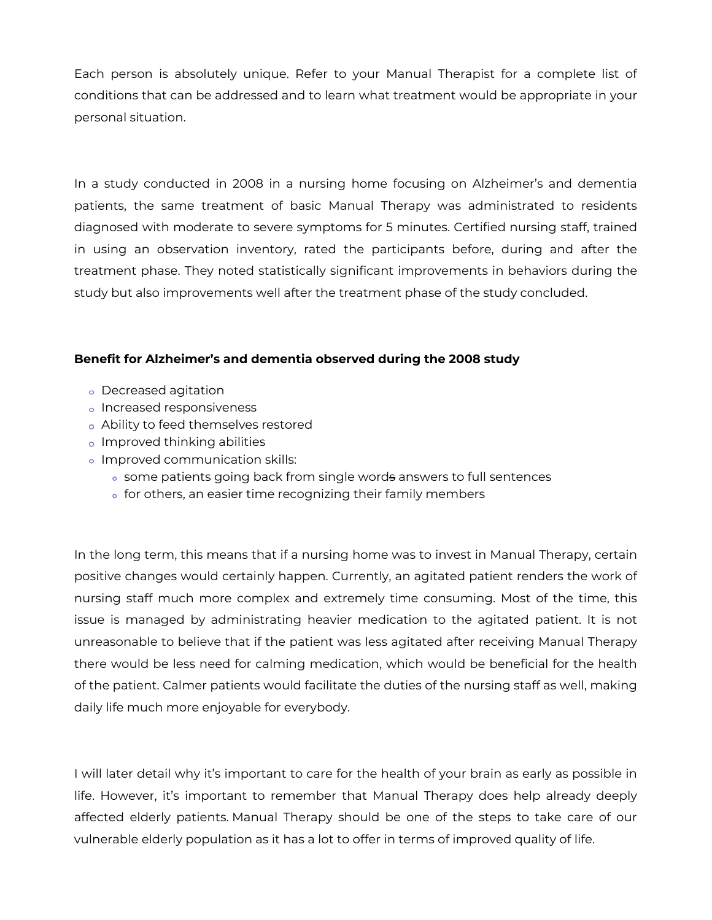Each person is absolutely unique. Refer to your Manual Therapist for a complete list of conditions that can be addressed and to learn what treatment would be appropriate in your personal situation.

In a study conducted in 2008 in a nursing home focusing on Alzheimer's and dementia patients, the same treatment of basic Manual Therapy was administrated to residents diagnosed with moderate to severe symptoms for 5 minutes. Certified nursing staff, trained in using an observation inventory, rated the participants before, during and after the treatment phase. They noted statistically significant improvements in behaviors during the study but also improvements well after the treatment phase of the study concluded.

#### **Benefit for Alzheimer's and dementia observed during the 2008 study**

- Decreased agitation
- o Increased responsiveness
- Ability to feed themselves restored
- Improved thinking abilities
- o Improved communication skills:
	- some patients going back from single words answers to full sentences
	- o for others, an easier time recognizing their family members

In the long term, this means that if a nursing home was to invest in Manual Therapy, certain positive changes would certainly happen. Currently, an agitated patient renders the work of nursing staff much more complex and extremely time consuming. Most of the time, this issue is managed by administrating heavier medication to the agitated patient. It is not unreasonable to believe that if the patient was less agitated after receiving Manual Therapy there would be less need for calming medication, which would be beneficial for the health of the patient. Calmer patients would facilitate the duties of the nursing staff as well, making daily life much more enjoyable for everybody.

I will later detail why it's important to care for the health of your brain as early as possible in life. However, it's important to remember that Manual Therapy does help already deeply affected elderly patients. Manual Therapy should be one of the steps to take care of our vulnerable elderly population as it has a lot to offer in terms of improved quality of life.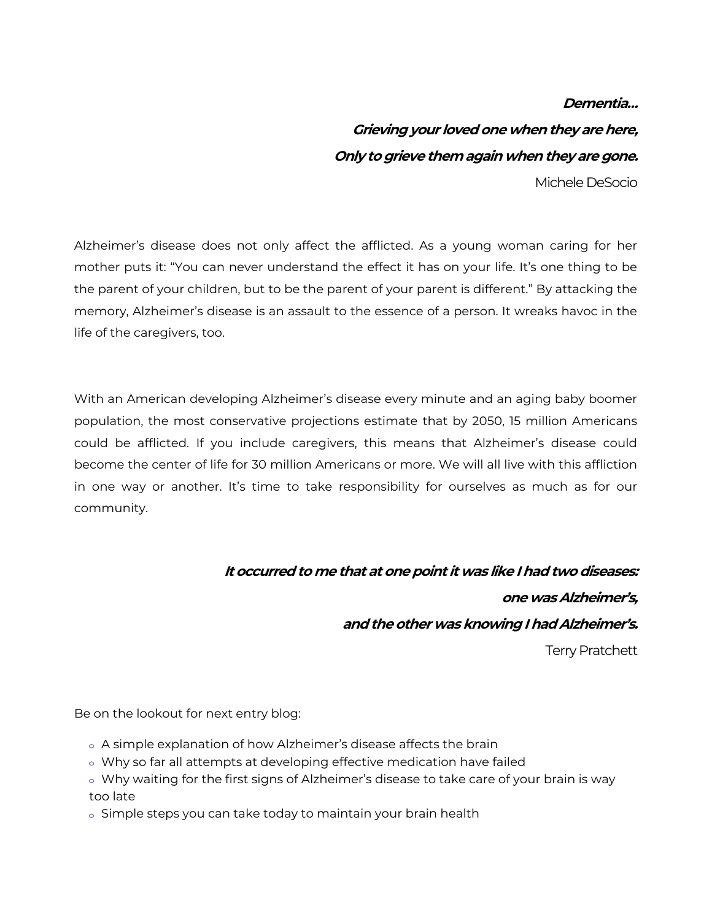#### **Dementia…**

**Grieving your loved one when they are here, Only to grieve them again when they are gone.**

Michele DeSocio

Alzheimer's disease does not only affect the afflicted. As a young woman caring for her mother puts it: "You can never understand the effect it has on your life. It's one thing to be the parent of your children, but to be the parent of your parent is different." By attacking the memory, Alzheimer's disease is an assault to the essence of a person. It wreaks havoc in the life of the caregivers, too.

With an American developing Alzheimer's disease every minute and an aging baby boomer population, the most conservative projections estimate that by 2050, 15 million Americans could be afflicted. If you include caregivers, this means that Alzheimer's disease could become the center of life for 30 million Americans or more. We will all live with this affliction in one way or another. It's time to take responsibility for ourselves as much as for our community.

## **It occurred to me that at one point it was like I had two diseases: one was Alzheimer's, and the other was knowing I had Alzheimer's.**  Terry Pratchett

Be on the lookout for next entry blog:

- A simple explanation of how Alzheimer's disease affects the brain
- Why so far all attempts at developing effective medication have failed
- Why waiting for the first signs of Alzheimer's disease to take care of your brain is way too late
- o Simple steps you can take today to maintain your brain health